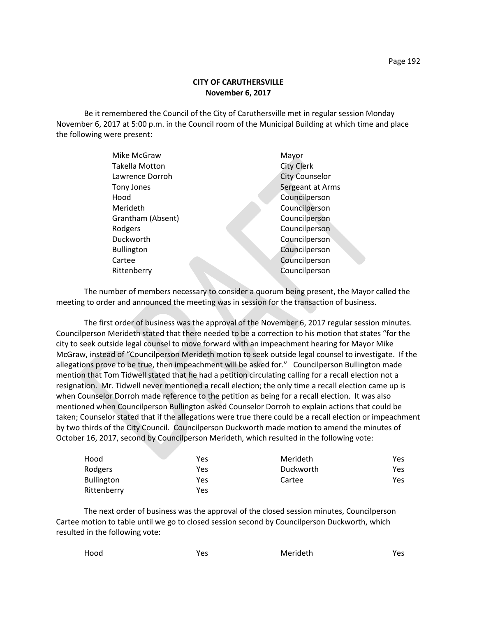## **CITY OF CARUTHERSVILLE November 6, 2017**

Be it remembered the Council of the City of Caruthersville met in regular session Monday November 6, 2017 at 5:00 p.m. in the Council room of the Municipal Building at which time and place the following were present:

| Mike McGraw           | Mayor                 |
|-----------------------|-----------------------|
| <b>Takella Motton</b> | <b>City Clerk</b>     |
| Lawrence Dorroh       | <b>City Counselor</b> |
| Tony Jones            | Sergeant at Arms      |
| Hood                  | Councilperson         |
| Merideth              | Councilperson         |
| Grantham (Absent)     | Councilperson         |
| Rodgers               | Councilperson         |
| Duckworth             | Councilperson         |
| <b>Bullington</b>     | Councilperson         |
| Cartee                | Councilperson         |
| Rittenberry           | Councilperson         |
|                       |                       |

The number of members necessary to consider a quorum being present, the Mayor called the meeting to order and announced the meeting was in session for the transaction of business.

The first order of business was the approval of the November 6, 2017 regular session minutes. Councilperson Merideth stated that there needed to be a correction to his motion that states "for the city to seek outside legal counsel to move forward with an impeachment hearing for Mayor Mike McGraw, instead of "Councilperson Merideth motion to seek outside legal counsel to investigate. If the allegations prove to be true, then impeachment will be asked for." Councilperson Bullington made mention that Tom Tidwell stated that he had a petition circulating calling for a recall election not a resignation. Mr. Tidwell never mentioned a recall election; the only time a recall election came up is when Counselor Dorroh made reference to the petition as being for a recall election. It was also mentioned when Councilperson Bullington asked Counselor Dorroh to explain actions that could be taken; Counselor stated that if the allegations were true there could be a recall election or impeachment by two thirds of the City Council. Councilperson Duckworth made motion to amend the minutes of October 16, 2017, second by Councilperson Merideth, which resulted in the following vote:

| Hood              | Yes | Merideth  | Yes |
|-------------------|-----|-----------|-----|
| Rodgers           | Yes | Duckworth | Yes |
| <b>Bullington</b> | Yes | Cartee    | Yes |
| Rittenberry       | Yes |           |     |

The next order of business was the approval of the closed session minutes, Councilperson Cartee motion to table until we go to closed session second by Councilperson Duckworth, which resulted in the following vote:

| Merideth<br>Hood<br>Yes |  |  |  | Yes |
|-------------------------|--|--|--|-----|
|-------------------------|--|--|--|-----|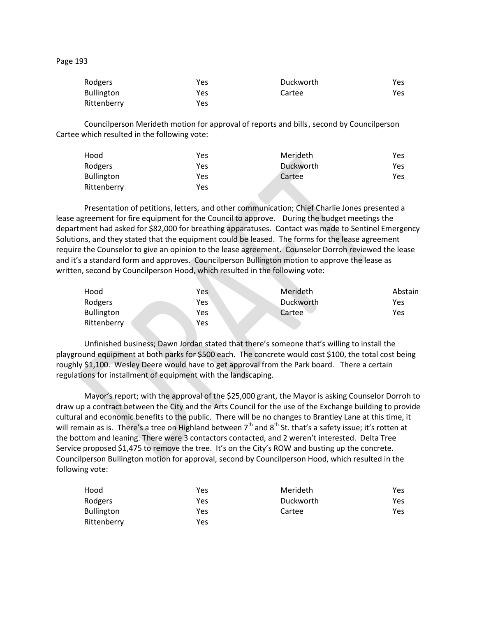## Page 193

| Rodgers           | Yes | Duckworth | Yes. |
|-------------------|-----|-----------|------|
| <b>Bullington</b> | Yes | Cartee    | Yes. |
| Rittenberry       | Yes |           |      |

Councilperson Merideth motion for approval of reports and bills, second by Councilperson Cartee which resulted in the following vote:

| Hood              | Yes | Merideth  | Yes |
|-------------------|-----|-----------|-----|
| Rodgers           | Yes | Duckworth | Yes |
| <b>Bullington</b> | Yes | Cartee    | Yes |
| Rittenberry       | Yes |           |     |

Presentation of petitions, letters, and other communication; Chief Charlie Jones presented a lease agreement for fire equipment for the Council to approve. During the budget meetings the department had asked for \$82,000 for breathing apparatuses. Contact was made to Sentinel Emergency Solutions, and they stated that the equipment could be leased. The forms for the lease agreement require the Counselor to give an opinion to the lease agreement. Counselor Dorroh reviewed the lease and it's a standard form and approves. Councilperson Bullington motion to approve the lease as written, second by Councilperson Hood, which resulted in the following vote:

| Hood              | Yes | Merideth  | Abstain |
|-------------------|-----|-----------|---------|
| Rodgers           | Yes | Duckworth | Yes     |
| <b>Bullington</b> | Yes | Cartee    | Yes     |
| Rittenberry       | Yes |           |         |

Unfinished business; Dawn Jordan stated that there's someone that's willing to install the playground equipment at both parks for \$500 each. The concrete would cost \$100, the total cost being roughly \$1,100. Wesley Deere would have to get approval from the Park board. There a certain regulations for installment of equipment with the landscaping.

Mayor's report; with the approval of the \$25,000 grant, the Mayor is asking Counselor Dorroh to draw up a contract between the City and the Arts Council for the use of the Exchange building to provide cultural and economic benefits to the public. There will be no changes to Brantley Lane at this time, it will remain as is. There's a tree on Highland between  $7<sup>th</sup>$  and  $8<sup>th</sup>$  St. that's a safety issue; it's rotten at the bottom and leaning. There were 3 contactors contacted, and 2 weren't interested. Delta Tree Service proposed \$1,475 to remove the tree. It's on the City's ROW and busting up the concrete. Councilperson Bullington motion for approval, second by Councilperson Hood, which resulted in the following vote:

| Hood              | Yes | Merideth  | Yes. |
|-------------------|-----|-----------|------|
| Rodgers           | Yes | Duckworth | Yes. |
| <b>Bullington</b> | Yes | Cartee    | Yes. |
| Rittenberry       | Yes |           |      |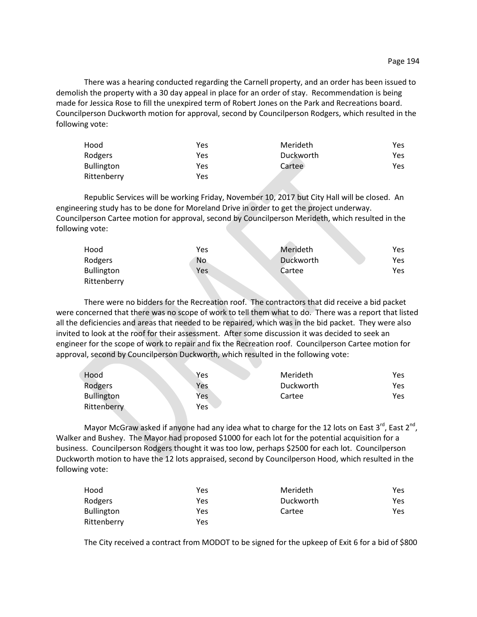There was a hearing conducted regarding the Carnell property, and an order has been issued to demolish the property with a 30 day appeal in place for an order of stay. Recommendation is being made for Jessica Rose to fill the unexpired term of Robert Jones on the Park and Recreations board. Councilperson Duckworth motion for approval, second by Councilperson Rodgers, which resulted in the following vote:

| Hood              | Yes | Merideth  | Yes. |
|-------------------|-----|-----------|------|
| Rodgers           | Yes | Duckworth | Yes. |
| <b>Bullington</b> | Yes | Cartee    | Yes. |
| Rittenberry       | Yes |           |      |

Republic Services will be working Friday, November 10, 2017 but City Hall will be closed. An engineering study has to be done for Moreland Drive in order to get the project underway. Councilperson Cartee motion for approval, second by Councilperson Merideth, which resulted in the following vote:

| Hood              | Yes       | Merideth  | Yes |
|-------------------|-----------|-----------|-----|
| Rodgers           | <b>No</b> | Duckworth | Yes |
| <b>Bullington</b> | Yes       | Cartee    | Yes |
| Rittenberry       |           |           |     |

There were no bidders for the Recreation roof. The contractors that did receive a bid packet were concerned that there was no scope of work to tell them what to do. There was a report that listed all the deficiencies and areas that needed to be repaired, which was in the bid packet. They were also invited to look at the roof for their assessment. After some discussion it was decided to seek an engineer for the scope of work to repair and fix the Recreation roof. Councilperson Cartee motion for approval, second by Councilperson Duckworth, which resulted in the following vote:

| Hood              | Yes | Merideth  | Yes |
|-------------------|-----|-----------|-----|
| Rodgers           | Yes | Duckworth | Yes |
| <b>Bullington</b> | Yes | Cartee    | Yes |
| Rittenberry       | Yes |           |     |

Mayor McGraw asked if anyone had any idea what to charge for the 12 lots on East 3<sup>rd</sup>, East 2<sup>nd</sup>, Walker and Bushey. The Mayor had proposed \$1000 for each lot for the potential acquisition for a business. Councilperson Rodgers thought it was too low, perhaps \$2500 for each lot. Councilperson Duckworth motion to have the 12 lots appraised, second by Councilperson Hood, which resulted in the following vote:

| Hood              | Yes | Merideth  | Yes |
|-------------------|-----|-----------|-----|
| Rodgers           | Yes | Duckworth | Yes |
| <b>Bullington</b> | Yes | Cartee    | Yes |
| Rittenberry       | Yes |           |     |

The City received a contract from MODOT to be signed for the upkeep of Exit 6 for a bid of \$800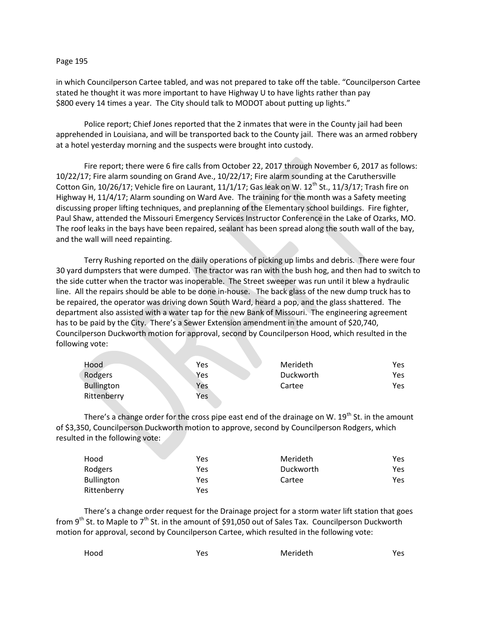## Page 195

in which Councilperson Cartee tabled, and was not prepared to take off the table. "Councilperson Cartee stated he thought it was more important to have Highway U to have lights rather than pay \$800 every 14 times a year. The City should talk to MODOT about putting up lights."

Police report; Chief Jones reported that the 2 inmates that were in the County jail had been apprehended in Louisiana, and will be transported back to the County jail. There was an armed robbery at a hotel yesterday morning and the suspects were brought into custody.

Fire report; there were 6 fire calls from October 22, 2017 through November 6, 2017 as follows: 10/22/17; Fire alarm sounding on Grand Ave., 10/22/17; Fire alarm sounding at the Caruthersville Cotton Gin, 10/26/17; Vehicle fire on Laurant, 11/1/17; Gas leak on W.  $12^{th}$  St., 11/3/17; Trash fire on Highway H, 11/4/17; Alarm sounding on Ward Ave. The training for the month was a Safety meeting discussing proper lifting techniques, and preplanning of the Elementary school buildings. Fire fighter, Paul Shaw, attended the Missouri Emergency Services Instructor Conference in the Lake of Ozarks, MO. The roof leaks in the bays have been repaired, sealant has been spread along the south wall of the bay, and the wall will need repainting.

Terry Rushing reported on the daily operations of picking up limbs and debris. There were four 30 yard dumpsters that were dumped. The tractor was ran with the bush hog, and then had to switch to the side cutter when the tractor was inoperable. The Street sweeper was run until it blew a hydraulic line. All the repairs should be able to be done in-house. The back glass of the new dump truck has to be repaired, the operator was driving down South Ward, heard a pop, and the glass shattered. The department also assisted with a water tap for the new Bank of Missouri. The engineering agreement has to be paid by the City. There's a Sewer Extension amendment in the amount of \$20,740, Councilperson Duckworth motion for approval, second by Councilperson Hood, which resulted in the following vote:

| Hood              | Yes | Merideth  | Yes  |
|-------------------|-----|-----------|------|
| Rodgers           | Yes | Duckworth | Yes. |
| <b>Bullington</b> | Yes | Cartee    | Yes  |
| Rittenberry       | Yes |           |      |

There's a change order for the cross pipe east end of the drainage on W.  $19<sup>th</sup>$  St. in the amount of \$3,350, Councilperson Duckworth motion to approve, second by Councilperson Rodgers, which resulted in the following vote:

| Hood              | Yes | Merideth  | Yes |
|-------------------|-----|-----------|-----|
| Rodgers           | Yes | Duckworth | Yes |
| <b>Bullington</b> | Yes | Cartee    | Yes |
| Rittenberry       | Yes |           |     |

There's a change order request for the Drainage project for a storm water lift station that goes from 9<sup>th</sup> St. to Maple to  $7<sup>th</sup>$  St. in the amount of \$91,050 out of Sales Tax. Councilperson Duckworth motion for approval, second by Councilperson Cartee, which resulted in the following vote:

| Hood | Vac<br>ີ | Merideth | Yes |
|------|----------|----------|-----|
|      |          |          |     |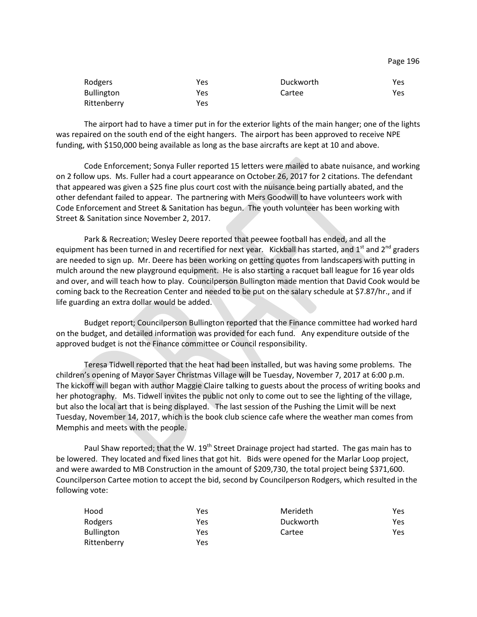| Rodgers           | Yes | Duckworth | Yes |
|-------------------|-----|-----------|-----|
| <b>Bullington</b> | Yes | Cartee    | Yes |
| Rittenberry       | Yes |           |     |

The airport had to have a timer put in for the exterior lights of the main hanger; one of the lights was repaired on the south end of the eight hangers. The airport has been approved to receive NPE funding, with \$150,000 being available as long as the base aircrafts are kept at 10 and above.

Code Enforcement; Sonya Fuller reported 15 letters were mailed to abate nuisance, and working on 2 follow ups. Ms. Fuller had a court appearance on October 26, 2017 for 2 citations. The defendant that appeared was given a \$25 fine plus court cost with the nuisance being partially abated, and the other defendant failed to appear. The partnering with Mers Goodwill to have volunteers work with Code Enforcement and Street & Sanitation has begun. The youth volunteer has been working with Street & Sanitation since November 2, 2017.

Park & Recreation; Wesley Deere reported that peewee football has ended, and all the equipment has been turned in and recertified for next year. Kickball has started, and 1<sup>st</sup> and 2<sup>nd</sup> graders are needed to sign up. Mr. Deere has been working on getting quotes from landscapers with putting in mulch around the new playground equipment. He is also starting a racquet ball league for 16 year olds and over, and will teach how to play. Councilperson Bullington made mention that David Cook would be coming back to the Recreation Center and needed to be put on the salary schedule at \$7.87/hr., and if life guarding an extra dollar would be added.

Budget report; Councilperson Bullington reported that the Finance committee had worked hard on the budget, and detailed information was provided for each fund. Any expenditure outside of the approved budget is not the Finance committee or Council responsibility.

Teresa Tidwell reported that the heat had been installed, but was having some problems. The children's opening of Mayor Sayer Christmas Village will be Tuesday, November 7, 2017 at 6:00 p.m. The kickoff will began with author Maggie Claire talking to guests about the process of writing books and her photography. Ms. Tidwell invites the public not only to come out to see the lighting of the village, but also the local art that is being displayed. The last session of the Pushing the Limit will be next Tuesday, November 14, 2017, which is the book club science cafe where the weather man comes from Memphis and meets with the people.

Paul Shaw reported; that the W. 19<sup>th</sup> Street Drainage project had started. The gas main has to be lowered. They located and fixed lines that got hit. Bids were opened for the Marlar Loop project, and were awarded to MB Construction in the amount of \$209,730, the total project being \$371,600. Councilperson Cartee motion to accept the bid, second by Councilperson Rodgers, which resulted in the following vote:

| Hood              | Yes | Merideth  | Yes |
|-------------------|-----|-----------|-----|
| Rodgers           | Yes | Duckworth | Yes |
| <b>Bullington</b> | Yes | Cartee    | Yes |
| Rittenberry       | Yes |           |     |

Page 196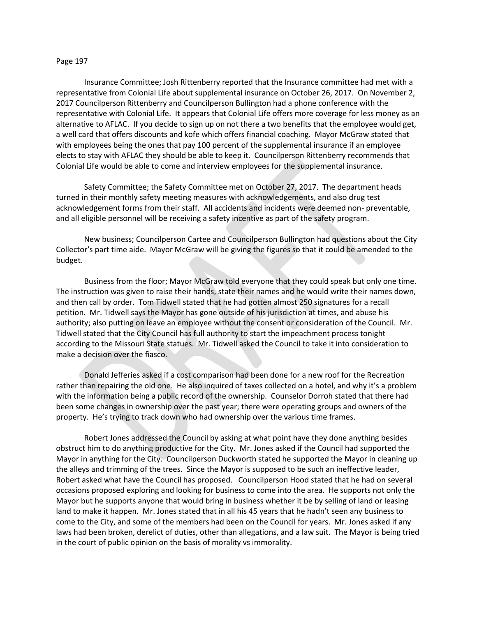## Page 197

Insurance Committee; Josh Rittenberry reported that the Insurance committee had met with a representative from Colonial Life about supplemental insurance on October 26, 2017. On November 2, 2017 Councilperson Rittenberry and Councilperson Bullington had a phone conference with the representative with Colonial Life. It appears that Colonial Life offers more coverage for less money as an alternative to AFLAC. If you decide to sign up on not there a two benefits that the employee would get, a well card that offers discounts and kofe which offers financial coaching. Mayor McGraw stated that with employees being the ones that pay 100 percent of the supplemental insurance if an employee elects to stay with AFLAC they should be able to keep it. Councilperson Rittenberry recommends that Colonial Life would be able to come and interview employees for the supplemental insurance.

Safety Committee; the Safety Committee met on October 27, 2017. The department heads turned in their monthly safety meeting measures with acknowledgements, and also drug test acknowledgement forms from their staff. All accidents and incidents were deemed non- preventable, and all eligible personnel will be receiving a safety incentive as part of the safety program.

New business; Councilperson Cartee and Councilperson Bullington had questions about the City Collector's part time aide. Mayor McGraw will be giving the figures so that it could be amended to the budget.

Business from the floor; Mayor McGraw told everyone that they could speak but only one time. The instruction was given to raise their hands, state their names and he would write their names down, and then call by order. Tom Tidwell stated that he had gotten almost 250 signatures for a recall petition. Mr. Tidwell says the Mayor has gone outside of his jurisdiction at times, and abuse his authority; also putting on leave an employee without the consent or consideration of the Council. Mr. Tidwell stated that the City Council has full authority to start the impeachment process tonight according to the Missouri State statues. Mr. Tidwell asked the Council to take it into consideration to make a decision over the fiasco.

Donald Jefferies asked if a cost comparison had been done for a new roof for the Recreation rather than repairing the old one. He also inquired of taxes collected on a hotel, and why it's a problem with the information being a public record of the ownership. Counselor Dorroh stated that there had been some changes in ownership over the past year; there were operating groups and owners of the property. He's trying to track down who had ownership over the various time frames.

Robert Jones addressed the Council by asking at what point have they done anything besides obstruct him to do anything productive for the City. Mr. Jones asked if the Council had supported the Mayor in anything for the City. Councilperson Duckworth stated he supported the Mayor in cleaning up the alleys and trimming of the trees. Since the Mayor is supposed to be such an ineffective leader, Robert asked what have the Council has proposed. Councilperson Hood stated that he had on several occasions proposed exploring and looking for business to come into the area. He supports not only the Mayor but he supports anyone that would bring in business whether it be by selling of land or leasing land to make it happen. Mr. Jones stated that in all his 45 years that he hadn't seen any business to come to the City, and some of the members had been on the Council for years. Mr. Jones asked if any laws had been broken, derelict of duties, other than allegations, and a law suit. The Mayor is being tried in the court of public opinion on the basis of morality vs immorality.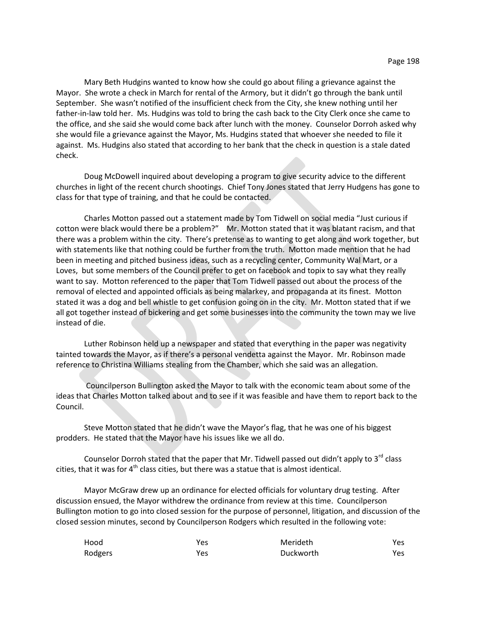Mary Beth Hudgins wanted to know how she could go about filing a grievance against the Mayor. She wrote a check in March for rental of the Armory, but it didn't go through the bank until September. She wasn't notified of the insufficient check from the City, she knew nothing until her father-in-law told her. Ms. Hudgins was told to bring the cash back to the City Clerk once she came to the office, and she said she would come back after lunch with the money. Counselor Dorroh asked why she would file a grievance against the Mayor, Ms. Hudgins stated that whoever she needed to file it against. Ms. Hudgins also stated that according to her bank that the check in question is a stale dated check.

Doug McDowell inquired about developing a program to give security advice to the different churches in light of the recent church shootings. Chief Tony Jones stated that Jerry Hudgens has gone to class for that type of training, and that he could be contacted.

Charles Motton passed out a statement made by Tom Tidwell on social media "Just curious if cotton were black would there be a problem?" Mr. Motton stated that it was blatant racism, and that there was a problem within the city. There's pretense as to wanting to get along and work together, but with statements like that nothing could be further from the truth. Motton made mention that he had been in meeting and pitched business ideas, such as a recycling center, Community Wal Mart, or a Loves, but some members of the Council prefer to get on facebook and topix to say what they really want to say. Motton referenced to the paper that Tom Tidwell passed out about the process of the removal of elected and appointed officials as being malarkey, and propaganda at its finest. Motton stated it was a dog and bell whistle to get confusion going on in the city. Mr. Motton stated that if we all got together instead of bickering and get some businesses into the community the town may we live instead of die.

Luther Robinson held up a newspaper and stated that everything in the paper was negativity tainted towards the Mayor, as if there's a personal vendetta against the Mayor. Mr. Robinson made reference to Christina Williams stealing from the Chamber, which she said was an allegation.

Councilperson Bullington asked the Mayor to talk with the economic team about some of the ideas that Charles Motton talked about and to see if it was feasible and have them to report back to the Council.

Steve Motton stated that he didn't wave the Mayor's flag, that he was one of his biggest prodders. He stated that the Mayor have his issues like we all do.

Counselor Dorroh stated that the paper that Mr. Tidwell passed out didn't apply to  $3<sup>rd</sup>$  class cities, that it was for  $4^{\text{th}}$  class cities, but there was a statue that is almost identical.

Mayor McGraw drew up an ordinance for elected officials for voluntary drug testing. After discussion ensued, the Mayor withdrew the ordinance from review at this time. Councilperson Bullington motion to go into closed session for the purpose of personnel, litigation, and discussion of the closed session minutes, second by Councilperson Rodgers which resulted in the following vote:

| Hood    | Yes | Merideth  | Yes |
|---------|-----|-----------|-----|
| Rodgers | Yes | Duckworth | Yes |